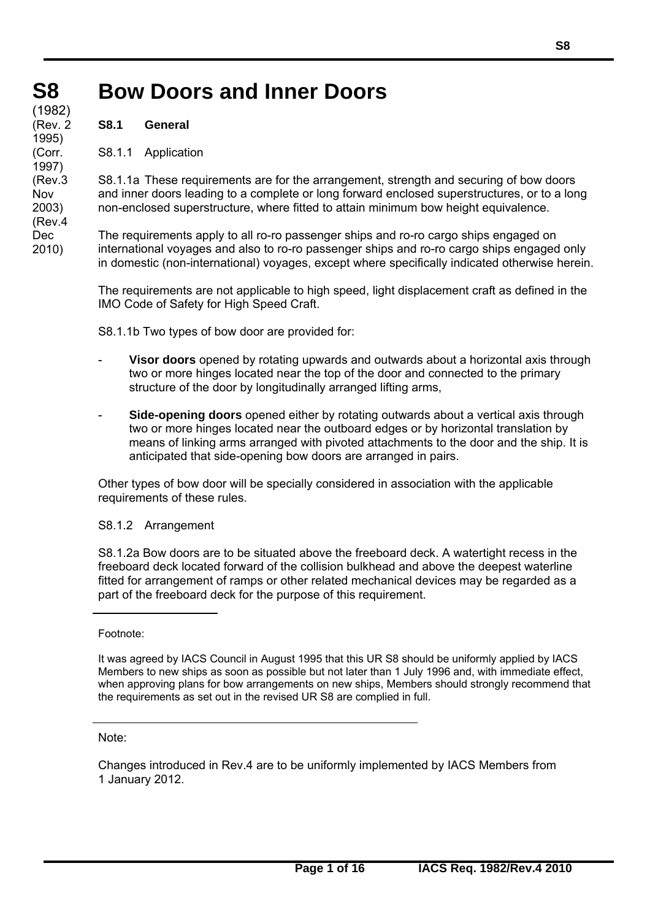### **S8 Bow Doors and Inner Doors S8 S8**  (1982) (1982)

**S8.1 General** 

(190Z

(Rev. 2 (Rev. 2 1995) 1995) (Corr. (Corr. 1997) 1997) (Rev.3 (Rev.3 Nov Nov 2003) 2003) (Rev.4 Dec 2010)

S8.1.1 Application

S8.1.1a These requirements are for the arrangement, strength and securing of bow doors and inner doors leading to a complete or long forward enclosed superstructures, or to a long non-enclosed superstructure, where fitted to attain minimum bow height equivalence.

The requirements apply to all ro-ro passenger ships and ro-ro cargo ships engaged on international voyages and also to ro-ro passenger ships and ro-ro cargo ships engaged only in domestic (non-international) voyages, except where specifically indicated otherwise herein.

The requirements are not applicable to high speed, light displacement craft as defined in the IMO Code of Safety for High Speed Craft.

S8.1.1b Two types of bow door are provided for:

- **Visor doors** opened by rotating upwards and outwards about a horizontal axis through two or more hinges located near the top of the door and connected to the primary structure of the door by longitudinally arranged lifting arms,
- **Side-opening doors** opened either by rotating outwards about a vertical axis through two or more hinges located near the outboard edges or by horizontal translation by means of linking arms arranged with pivoted attachments to the door and the ship. It is anticipated that side-opening bow doors are arranged in pairs.

Other types of bow door will be specially considered in association with the applicable requirements of these rules.

# S8.1.2 Arrangement

S8.1.2a Bow doors are to be situated above the freeboard deck. A watertight recess in the freeboard deck located forward of the collision bulkhead and above the deepest waterline fitted for arrangement of ramps or other related mechanical devices may be regarded as a part of the freeboard deck for the purpose of this requirement.

Footnote:

Note:

 $\overline{a}$ 

Changes introduced in Rev.4 are to be uniformly implemented by IACS Members from 1 January 2012.

It was agreed by IACS Council in August 1995 that this UR S8 should be uniformly applied by IACS Members to new ships as soon as possible but not later than 1 July 1996 and, with immediate effect, when approving plans for bow arrangements on new ships, Members should strongly recommend that the requirements as set out in the revised UR S8 are complied in full.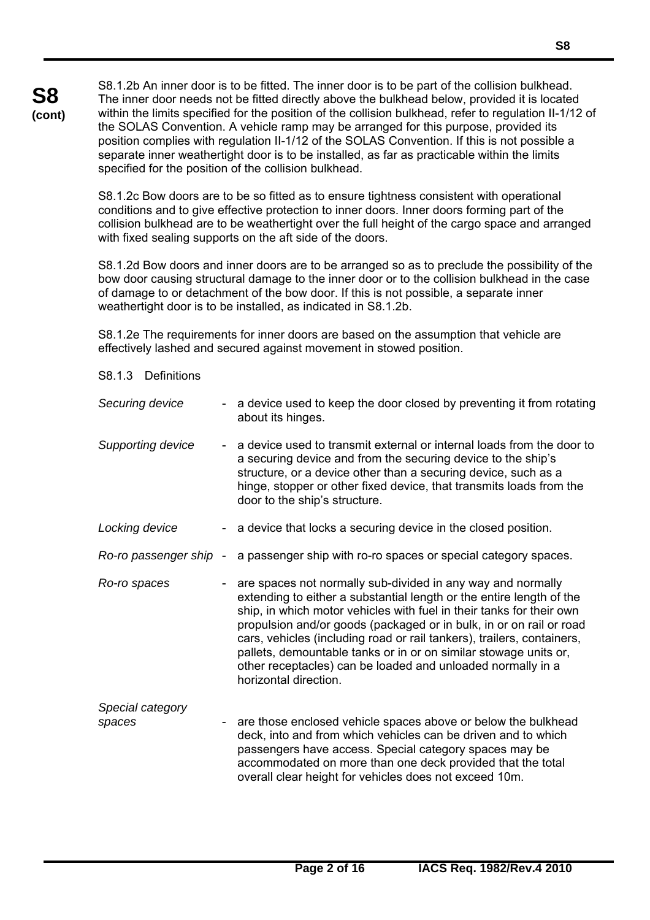S8.1.2b An inner door is to be fitted. The inner door is to be part of the collision bulkhead. The inner door needs not be fitted directly above the bulkhead below, provided it is located within the limits specified for the position of the collision bulkhead, refer to regulation II-1/12 of the SOLAS Convention. A vehicle ramp may be arranged for this purpose, provided its position complies with regulation II-1/12 of the SOLAS Convention. If this is not possible a separate inner weathertight door is to be installed, as far as practicable within the limits specified for the position of the collision bulkhead.

S8.1.2c Bow doors are to be so fitted as to ensure tightness consistent with operational conditions and to give effective protection to inner doors. Inner doors forming part of the collision bulkhead are to be weathertight over the full height of the cargo space and arranged with fixed sealing supports on the aft side of the doors.

S8.1.2d Bow doors and inner doors are to be arranged so as to preclude the possibility of the bow door causing structural damage to the inner door or to the collision bulkhead in the case of damage to or detachment of the bow door. If this is not possible, a separate inner weathertight door is to be installed, as indicated in S8.1.2b.

S8.1.2e The requirements for inner doors are based on the assumption that vehicle are effectively lashed and secured against movement in stowed position.

**S8 (cont)**

| Securing device            | - a device used to keep the door closed by preventing it from rotating<br>about its hinges.                                                                                                                                                                                                                                                                                                                                                                                                                              |
|----------------------------|--------------------------------------------------------------------------------------------------------------------------------------------------------------------------------------------------------------------------------------------------------------------------------------------------------------------------------------------------------------------------------------------------------------------------------------------------------------------------------------------------------------------------|
| Supporting device          | a device used to transmit external or internal loads from the door to<br>a securing device and from the securing device to the ship's<br>structure, or a device other than a securing device, such as a<br>hinge, stopper or other fixed device, that transmits loads from the<br>door to the ship's structure.                                                                                                                                                                                                          |
| Locking device             | - a device that locks a securing device in the closed position.                                                                                                                                                                                                                                                                                                                                                                                                                                                          |
| Ro-ro passenger ship -     | a passenger ship with ro-ro spaces or special category spaces.                                                                                                                                                                                                                                                                                                                                                                                                                                                           |
| Ro-ro spaces               | are spaces not normally sub-divided in any way and normally<br>extending to either a substantial length or the entire length of the<br>ship, in which motor vehicles with fuel in their tanks for their own<br>propulsion and/or goods (packaged or in bulk, in or on rail or road<br>cars, vehicles (including road or rail tankers), trailers, containers,<br>pallets, demountable tanks or in or on similar stowage units or,<br>other receptacles) can be loaded and unloaded normally in a<br>horizontal direction. |
| Special category<br>spaces | are those enclosed vehicle spaces above or below the bulkhead<br>deck, into and from which vehicles can be driven and to which<br>passengers have access. Special category spaces may be<br>accommodated on more than one deck provided that the total<br>overall clear height for vehicles does not exceed 10m.                                                                                                                                                                                                         |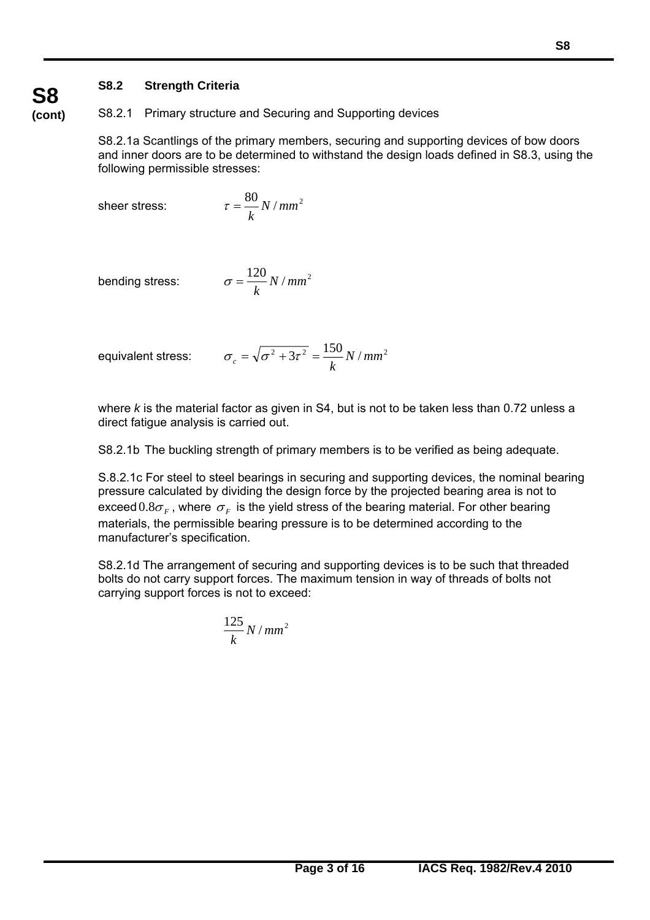# **S8.2 Strength Criteria**

S8.2.1 Primary structure and Securing and Supporting devices

S8.2.1a Scantlings of the primary members, securing and supporting devices of bow doors and inner doors are to be determined to withstand the design loads defined in S8.3, using the following permissible stresses:

sheer stress:

$$
\tau = \frac{80}{k} N / mm^2
$$

bending stress:

$$
\sigma = \frac{120}{k} N / mm^2
$$

equivalent stress:  $\alpha$ 

 $\overline{a}$ 

$$
\sigma_c = \sqrt{\sigma^2 + 3\tau^2} = \frac{150}{k} N / mm^2
$$

where *k* is the material factor as given in S4, but is not to be taken less than 0.72 unless a direct fatigue analysis is carried out.

S8.2.1b The buckling strength of primary members is to be verified as being adequate.

S.8.2.1c For steel to steel bearings in securing and supporting devices, the nominal bearing pressure calculated by dividing the design force by the projected bearing area is not to exceed  $0.8\sigma_F$ , where  $\sigma_F$  is the yield stress of the bearing material. For other bearing materials, the permissible bearing pressure is to be determined according to the manufacturer's specification.

S8.2.1d The arrangement of securing and supporting devices is to be such that threaded bolts do not carry support forces. The maximum tension in way of threads of bolts not carrying support forces is not to exceed:

$$
\frac{125}{k}N/mm^2
$$

# **S8 (cont)**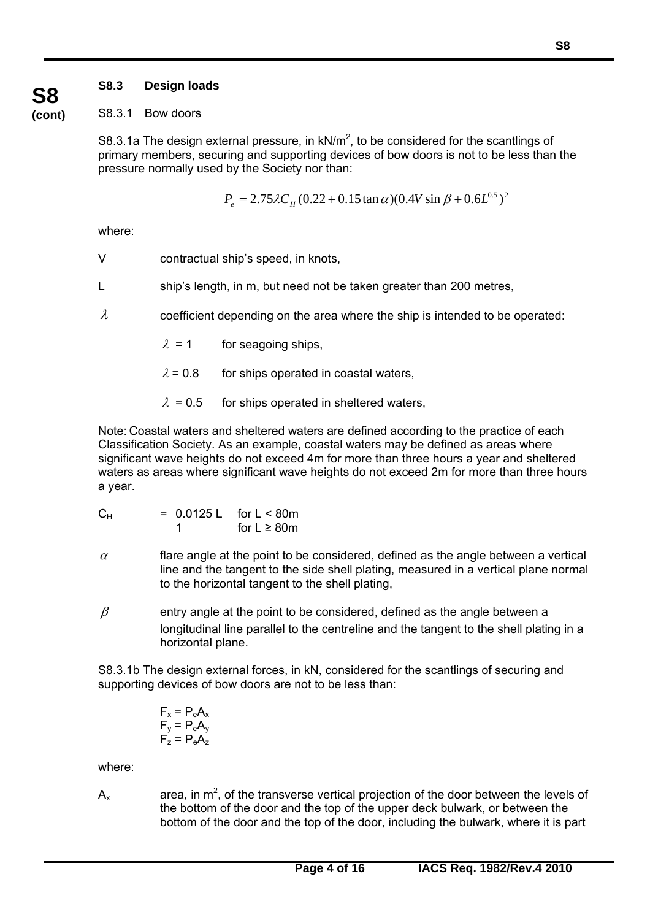# **S8.3 Design loads**

**S8** 

#### **(cont)** S8.3.1 Bow doors

S8.3.1a The design external pressure, in  $kN/m^2$ , to be considered for the scantlings of primary members, securing and supporting devices of bow doors is not to be less than the pressure normally used by the Society nor than:

$$
P_e = 2.75 \lambda C_H (0.22 + 0.15 \tan \alpha)(0.4 V \sin \beta + 0.6 L^{0.5})^2
$$

where:

- V contractual ship's speed, in knots,
- L ship's length, in m, but need not be taken greater than 200 metres,
- $\lambda$  coefficient depending on the area where the ship is intended to be operated:
	- $\lambda = 1$  for seagoing ships,
	- $\lambda$  = 0.8 for ships operated in coastal waters,
	- $\lambda$  = 0.5 for ships operated in sheltered waters,

Note: Coastal waters and sheltered waters are defined according to the practice of each Classification Society. As an example, coastal waters may be defined as areas where significant wave heights do not exceed 4m for more than three hours a year and sheltered waters as areas where significant wave heights do not exceed 2m for more than three hours a year.

| $\mathsf{C}_\mathsf{H}$ | $= 0.0125 L$ for $L < 80m$ |                   |
|-------------------------|----------------------------|-------------------|
|                         |                            | for $L \geq 80$ m |

- $\alpha$  **flare angle at the point to be considered, defined as the angle between a vertical** line and the tangent to the side shell plating, measured in a vertical plane normal to the horizontal tangent to the shell plating,
- $\beta$  entry angle at the point to be considered, defined as the angle between a longitudinal line parallel to the centreline and the tangent to the shell plating in a horizontal plane.

S8.3.1b The design external forces, in kN, considered for the scantlings of securing and supporting devices of bow doors are not to be less than:

$$
F_x = P_e A_x
$$
  
\n
$$
F_y = P_e A_y
$$
  
\n
$$
F_z = P_e A_z
$$

where:

 $\overline{a}$ 

 $A_x$  area, in m<sup>2</sup>, of the transverse vertical projection of the door between the levels of the bottom of the door and the top of the upper deck bulwark, or between the bottom of the door and the top of the door, including the bulwark, where it is part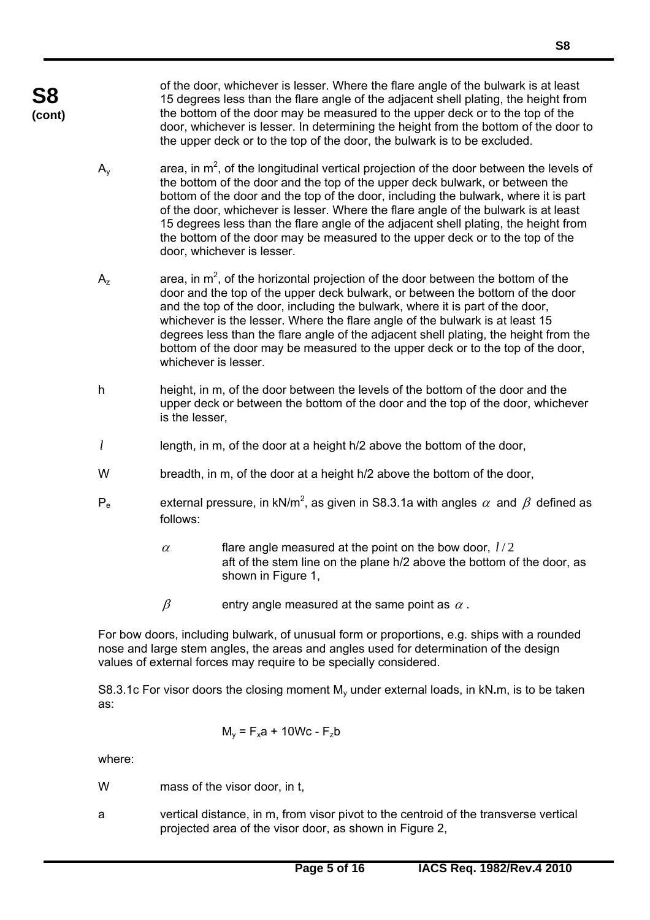of the door, whichever is lesser. Where the flare angle of the bulwark is at least 15 degrees less than the flare angle of the adjacent shell plating, the height from the bottom of the door may be measured to the upper deck or to the top of the door, whichever is lesser. In determining the height from the bottom of the door to the upper deck or to the top of the door, the bulwark is to be excluded.

- $A<sub>y</sub>$  area, in m<sup>2</sup>, of the longitudinal vertical projection of the door between the levels of the bottom of the door and the top of the upper deck bulwark, or between the bottom of the door and the top of the door, including the bulwark, where it is part of the door, whichever is lesser. Where the flare angle of the bulwark is at least 15 degrees less than the flare angle of the adjacent shell plating, the height from the bottom of the door may be measured to the upper deck or to the top of the door, whichever is lesser.
- $A_z$  area, in  $m^2$ , of the horizontal projection of the door between the bottom of the door and the top of the upper deck bulwark, or between the bottom of the door and the top of the door, including the bulwark, where it is part of the door, whichever is the lesser. Where the flare angle of the bulwark is at least 15 degrees less than the flare angle of the adjacent shell plating, the height from the bottom of the door may be measured to the upper deck or to the top of the door, whichever is lesser.
- h height, in m, of the door between the levels of the bottom of the door and the upper deck or between the bottom of the door and the top of the door, whichever is the lesser,
- *l* length, in m, of the door at a height h/2 above the bottom of the door,
- W breadth, in m, of the door at a height h/2 above the bottom of the door,
- $P_e$  external pressure, in kN/m<sup>2</sup>, as given in S8.3.1a with angles  $\alpha$  and  $\beta$  defined as follows:
	- $\alpha$  flare angle measured at the point on the bow door,  $l/2$  aft of the stem line on the plane h/2 above the bottom of the door, as shown in Figure 1,
	- $\beta$  entry angle measured at the same point as  $\alpha$ .

For bow doors, including bulwark, of unusual form or proportions, e.g. ships with a rounded nose and large stem angles, the areas and angles used for determination of the design values of external forces may require to be specially considered.

S8.3.1c For visor doors the closing moment M<sub>y</sub> under external loads, in kN,m, is to be taken as:

$$
M_y = F_x a + 10 Wc - F_z b
$$

where:

 $\overline{a}$ 

W mass of the visor door, in t,

a vertical distance, in m, from visor pivot to the centroid of the transverse vertical projected area of the visor door, as shown in Figure 2,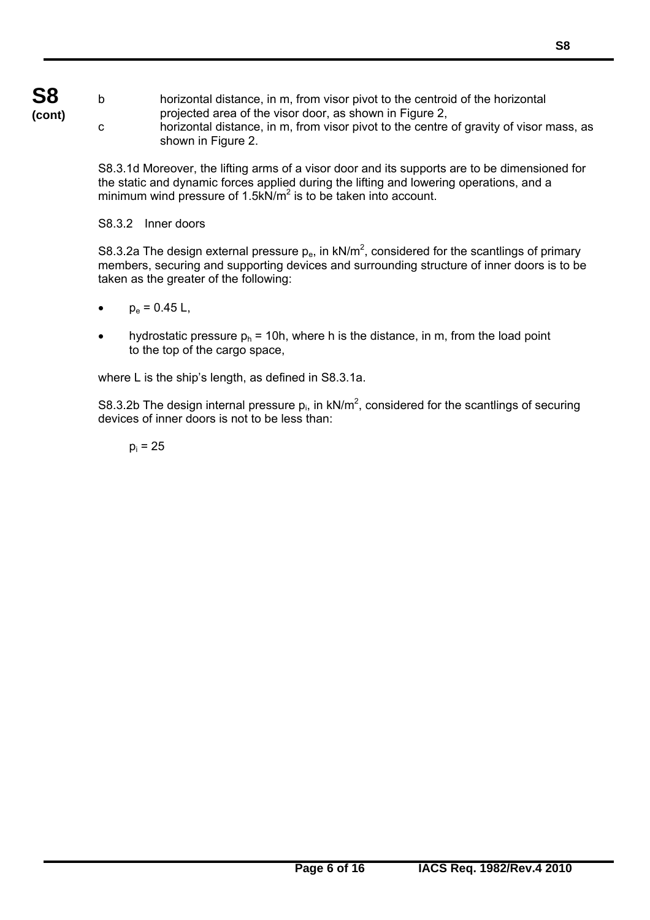**S8 (cont)**

b horizontal distance, in m, from visor pivot to the centroid of the horizontal projected area of the visor door, as shown in Figure 2,

c horizontal distance, in m, from visor pivot to the centre of gravity of visor mass, as shown in Figure 2.

S8.3.1d Moreover, the lifting arms of a visor door and its supports are to be dimensioned for the static and dynamic forces applied during the lifting and lowering operations, and a minimum wind pressure of  $1.5$ kN/ $m<sup>2</sup>$  is to be taken into account.

S8.3.2 Inner doors

S8.3.2a The design external pressure  $p_e$ , in kN/m<sup>2</sup>, considered for the scantlings of primary members, securing and supporting devices and surrounding structure of inner doors is to be taken as the greater of the following:

- $p_e = 0.45 L$ ,
- hydrostatic pressure  $p_h$  = 10h, where h is the distance, in m, from the load point to the top of the cargo space,

where L is the ship's length, as defined in S8.3.1a.

S8.3.2b The design internal pressure  $p_i$ , in kN/m<sup>2</sup>, considered for the scantlings of securing devices of inner doors is not to be less than:

 $p_i = 25$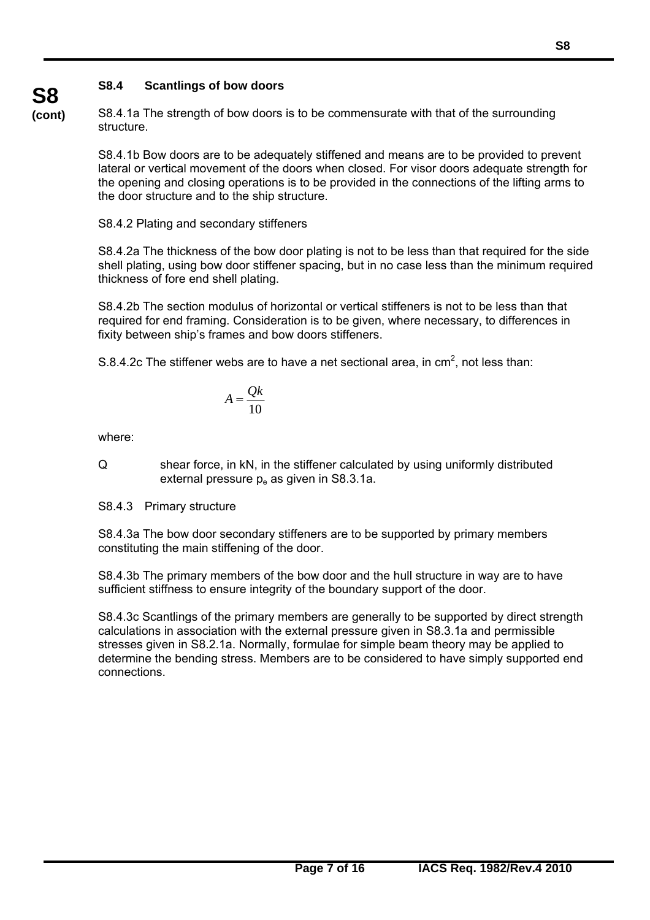# **S8.4 Scantlings of bow doors**

**(cont)** S8.4.1a The strength of bow doors is to be commensurate with that of the surrounding structure.

> S8.4.1b Bow doors are to be adequately stiffened and means are to be provided to prevent lateral or vertical movement of the doors when closed. For visor doors adequate strength for the opening and closing operations is to be provided in the connections of the lifting arms to the door structure and to the ship structure.

S8.4.2 Plating and secondary stiffeners

S8.4.2a The thickness of the bow door plating is not to be less than that required for the side shell plating, using bow door stiffener spacing, but in no case less than the minimum required thickness of fore end shell plating.

S8.4.2b The section modulus of horizontal or vertical stiffeners is not to be less than that required for end framing. Consideration is to be given, where necessary, to differences in fixity between ship's frames and bow doors stiffeners.

S.8.4.2c The stiffener webs are to have a net sectional area, in  $\text{cm}^2$ , not less than:

$$
A = \frac{Qk}{10}
$$

where:

**S8** 

 $\overline{a}$ 

Q shear force, in kN, in the stiffener calculated by using uniformly distributed external pressure  $p_e$  as given in S8.3.1a.

S8.4.3 Primary structure

S8.4.3a The bow door secondary stiffeners are to be supported by primary members constituting the main stiffening of the door.

S8.4.3b The primary members of the bow door and the hull structure in way are to have sufficient stiffness to ensure integrity of the boundary support of the door.

S8.4.3c Scantlings of the primary members are generally to be supported by direct strength calculations in association with the external pressure given in S8.3.1a and permissible stresses given in S8.2.1a. Normally, formulae for simple beam theory may be applied to determine the bending stress. Members are to be considered to have simply supported end connections.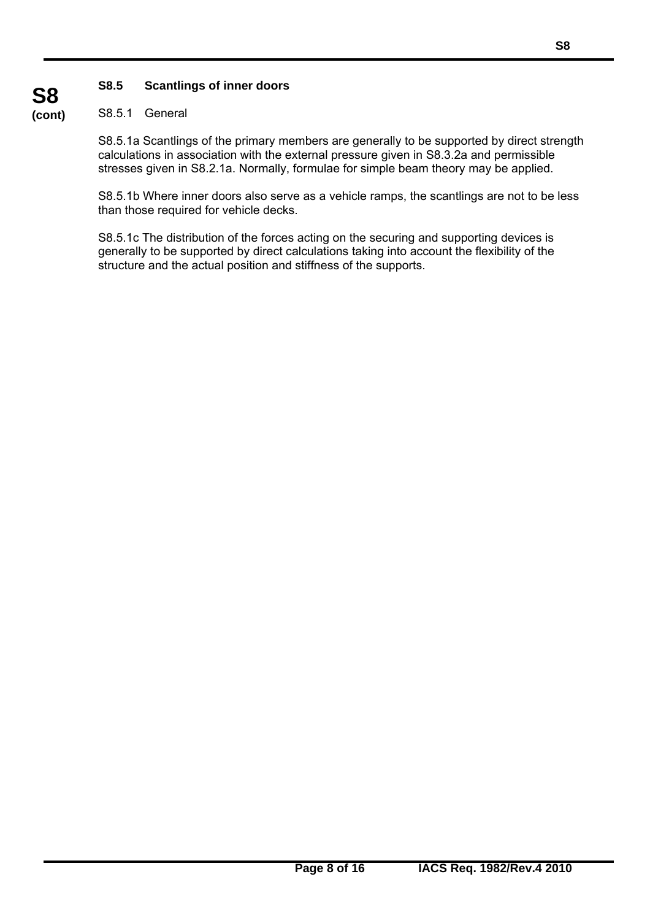## **S8.5 Scantlings of inner doors**

#### **(cont)** S8.5.1 General

**S8** 

 $\overline{a}$ 

S8.5.1a Scantlings of the primary members are generally to be supported by direct strength calculations in association with the external pressure given in S8.3.2a and permissible stresses given in S8.2.1a. Normally, formulae for simple beam theory may be applied.

S8.5.1b Where inner doors also serve as a vehicle ramps, the scantlings are not to be less than those required for vehicle decks.

S8.5.1c The distribution of the forces acting on the securing and supporting devices is generally to be supported by direct calculations taking into account the flexibility of the structure and the actual position and stiffness of the supports.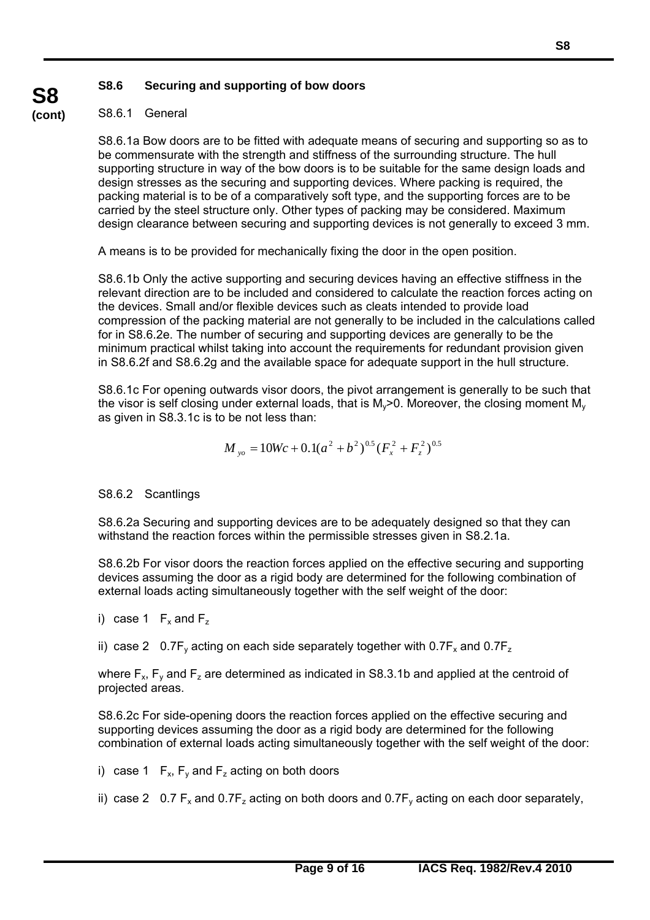### **S8.6 Securing and supporting of bow doors**

# S8.6.1 General

**S8 (cont)**

> S8.6.1a Bow doors are to be fitted with adequate means of securing and supporting so as to be commensurate with the strength and stiffness of the surrounding structure. The hull supporting structure in way of the bow doors is to be suitable for the same design loads and design stresses as the securing and supporting devices. Where packing is required, the packing material is to be of a comparatively soft type, and the supporting forces are to be carried by the steel structure only. Other types of packing may be considered. Maximum design clearance between securing and supporting devices is not generally to exceed 3 mm.

A means is to be provided for mechanically fixing the door in the open position.

S8.6.1b Only the active supporting and securing devices having an effective stiffness in the relevant direction are to be included and considered to calculate the reaction forces acting on the devices. Small and/or flexible devices such as cleats intended to provide load compression of the packing material are not generally to be included in the calculations called for in S8.6.2e. The number of securing and supporting devices are generally to be the minimum practical whilst taking into account the requirements for redundant provision given in S8.6.2f and S8.6.2g and the available space for adequate support in the hull structure.

S8.6.1c For opening outwards visor doors, the pivot arrangement is generally to be such that the visor is self closing under external loads, that is  $M_v$  >0. Moreover, the closing moment  $M_v$ as given in S8.3.1c is to be not less than:

$$
M_{y_0} = 10Wc + 0.1(a^2 + b^2)^{0.5}(F_x^2 + F_z^2)^{0.5}
$$

### S8.6.2 Scantlings

S8.6.2a Securing and supporting devices are to be adequately designed so that they can withstand the reaction forces within the permissible stresses given in S8.2.1a.

S8.6.2b For visor doors the reaction forces applied on the effective securing and supporting devices assuming the door as a rigid body are determined for the following combination of external loads acting simultaneously together with the self weight of the door:

i) case 1  $F_x$  and  $F_z$ 

 $\overline{a}$ 

ii) case 2 0.7F<sub>y</sub> acting on each side separately together with  $0.7F_x$  and  $0.7F_z$ 

where  $F_x$ ,  $F_y$  and  $F_z$  are determined as indicated in S8.3.1b and applied at the centroid of projected areas.

S8.6.2c For side-opening doors the reaction forces applied on the effective securing and supporting devices assuming the door as a rigid body are determined for the following combination of external loads acting simultaneously together with the self weight of the door:

- i) case 1  $F_x$ ,  $F_y$  and  $F_z$  acting on both doors
- ii) case 2 0.7  $F_x$  and 0.7 $F_z$  acting on both doors and 0.7 $F_y$  acting on each door separately,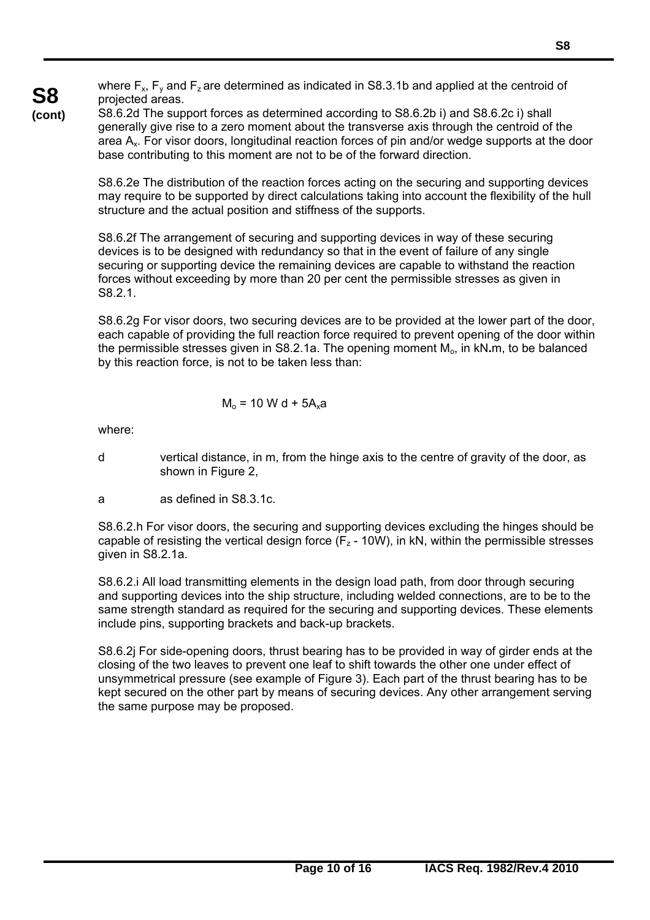where  $F_x$ ,  $F_y$  and  $F_z$  are determined as indicated in S8.3.1b and applied at the centroid of projected areas.

**S8 (cont)**

S8.6.2d The support forces as determined according to S8.6.2b i) and S8.6.2c i) shall generally give rise to a zero moment about the transverse axis through the centroid of the area Ax. For visor doors, longitudinal reaction forces of pin and/or wedge supports at the door base contributing to this moment are not to be of the forward direction.

S8.6.2e The distribution of the reaction forces acting on the securing and supporting devices may require to be supported by direct calculations taking into account the flexibility of the hull structure and the actual position and stiffness of the supports.

S8.6.2f The arrangement of securing and supporting devices in way of these securing devices is to be designed with redundancy so that in the event of failure of any single securing or supporting device the remaining devices are capable to withstand the reaction forces without exceeding by more than 20 per cent the permissible stresses as given in S8.2.1.

S8.6.2g For visor doors, two securing devices are to be provided at the lower part of the door, each capable of providing the full reaction force required to prevent opening of the door within the permissible stresses given in S8.2.1a. The opening moment Mo, in kN**.**m, to be balanced by this reaction force, is not to be taken less than:

$$
M_0 = 10 W d + 5A_x a
$$

where:

 $\overline{a}$ 

- d vertical distance, in m, from the hinge axis to the centre of gravity of the door, as shown in Figure 2,
- a as defined in S8.3.1c.

S8.6.2.h For visor doors, the securing and supporting devices excluding the hinges should be capable of resisting the vertical design force  $(F_z - 10W)$ , in kN, within the permissible stresses given in S8.2.1a.

S8.6.2.i All load transmitting elements in the design load path, from door through securing and supporting devices into the ship structure, including welded connections, are to be to the same strength standard as required for the securing and supporting devices. These elements include pins, supporting brackets and back-up brackets.

S8.6.2j For side-opening doors, thrust bearing has to be provided in way of girder ends at the closing of the two leaves to prevent one leaf to shift towards the other one under effect of unsymmetrical pressure (see example of Figure 3). Each part of the thrust bearing has to be kept secured on the other part by means of securing devices. Any other arrangement serving the same purpose may be proposed.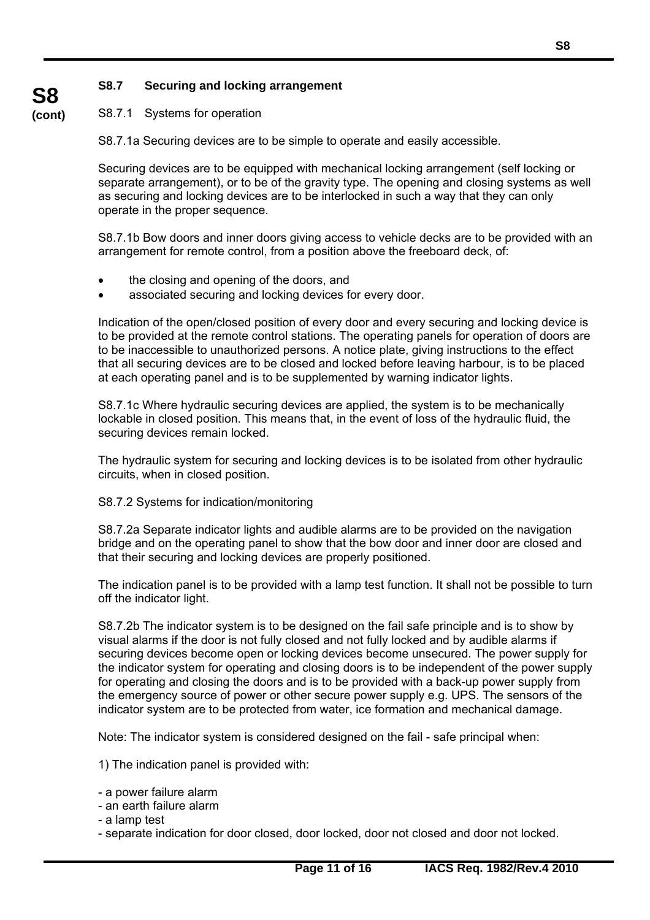## **S8.7 Securing and locking arrangement**

#### **(cont)** S8.7.1 Systems for operation

**S8** 

S8.7.1a Securing devices are to be simple to operate and easily accessible.

Securing devices are to be equipped with mechanical locking arrangement (self locking or separate arrangement), or to be of the gravity type. The opening and closing systems as well as securing and locking devices are to be interlocked in such a way that they can only operate in the proper sequence.

S8.7.1b Bow doors and inner doors giving access to vehicle decks are to be provided with an arrangement for remote control, from a position above the freeboard deck, of:

- the closing and opening of the doors, and
- associated securing and locking devices for every door.

Indication of the open/closed position of every door and every securing and locking device is to be provided at the remote control stations. The operating panels for operation of doors are to be inaccessible to unauthorized persons. A notice plate, giving instructions to the effect that all securing devices are to be closed and locked before leaving harbour, is to be placed at each operating panel and is to be supplemented by warning indicator lights.

S8.7.1c Where hydraulic securing devices are applied, the system is to be mechanically lockable in closed position. This means that, in the event of loss of the hydraulic fluid, the securing devices remain locked.

The hydraulic system for securing and locking devices is to be isolated from other hydraulic circuits, when in closed position.

### S8.7.2 Systems for indication/monitoring

S8.7.2a Separate indicator lights and audible alarms are to be provided on the navigation bridge and on the operating panel to show that the bow door and inner door are closed and that their securing and locking devices are properly positioned.

The indication panel is to be provided with a lamp test function. It shall not be possible to turn off the indicator light.

S8.7.2b The indicator system is to be designed on the fail safe principle and is to show by visual alarms if the door is not fully closed and not fully locked and by audible alarms if securing devices become open or locking devices become unsecured. The power supply for the indicator system for operating and closing doors is to be independent of the power supply for operating and closing the doors and is to be provided with a back-up power supply from the emergency source of power or other secure power supply e.g. UPS. The sensors of the indicator system are to be protected from water, ice formation and mechanical damage.

Note: The indicator system is considered designed on the fail - safe principal when:

1) The indication panel is provided with:

- a power failure alarm
- an earth failure alarm
- a lamp test

 $\overline{a}$ 

- separate indication for door closed, door locked, door not closed and door not locked.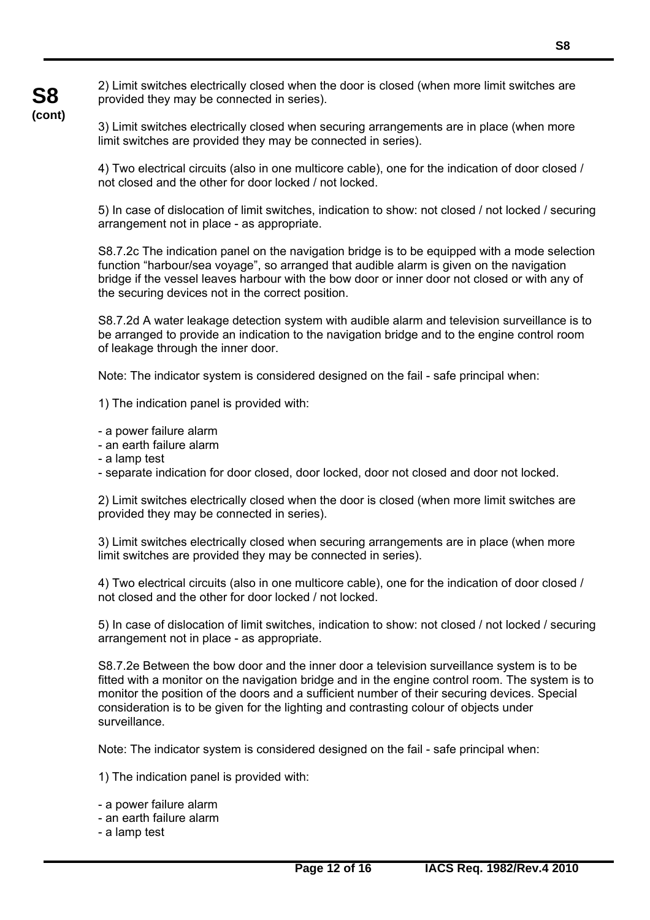2) Limit switches electrically closed when the door is closed (when more limit switches are provided they may be connected in series).

3) Limit switches electrically closed when securing arrangements are in place (when more limit switches are provided they may be connected in series).

4) Two electrical circuits (also in one multicore cable), one for the indication of door closed / not closed and the other for door locked / not locked.

5) In case of dislocation of limit switches, indication to show: not closed / not locked / securing arrangement not in place - as appropriate.

S8.7.2c The indication panel on the navigation bridge is to be equipped with a mode selection function "harbour/sea voyage", so arranged that audible alarm is given on the navigation bridge if the vessel leaves harbour with the bow door or inner door not closed or with any of the securing devices not in the correct position.

S8.7.2d A water leakage detection system with audible alarm and television surveillance is to be arranged to provide an indication to the navigation bridge and to the engine control room of leakage through the inner door.

Note: The indicator system is considered designed on the fail - safe principal when:

1) The indication panel is provided with:

- a power failure alarm
- an earth failure alarm
- a lamp test

**S8 (cont)**

- separate indication for door closed, door locked, door not closed and door not locked.

2) Limit switches electrically closed when the door is closed (when more limit switches are provided they may be connected in series).

3) Limit switches electrically closed when securing arrangements are in place (when more limit switches are provided they may be connected in series).

4) Two electrical circuits (also in one multicore cable), one for the indication of door closed / not closed and the other for door locked / not locked.

5) In case of dislocation of limit switches, indication to show: not closed / not locked / securing arrangement not in place - as appropriate.

S8.7.2e Between the bow door and the inner door a television surveillance system is to be fitted with a monitor on the navigation bridge and in the engine control room. The system is to monitor the position of the doors and a sufficient number of their securing devices. Special consideration is to be given for the lighting and contrasting colour of objects under surveillance.

Note: The indicator system is considered designed on the fail - safe principal when:

1) The indication panel is provided with:

- a power failure alarm
- an earth failure alarm
- a lamp test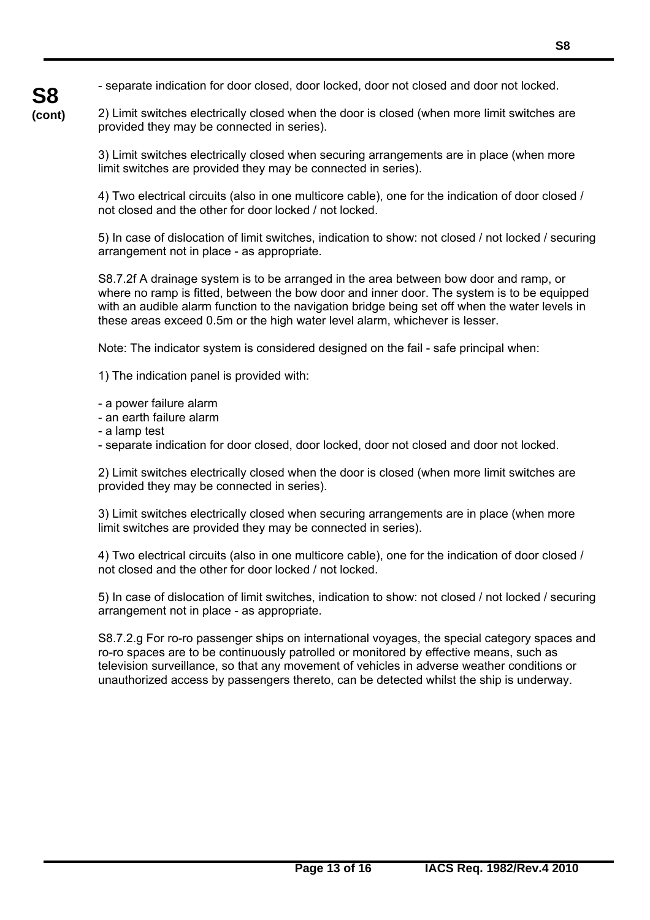- separate indication for door closed, door locked, door not closed and door not locked.

2) Limit switches electrically closed when the door is closed (when more limit switches are provided they may be connected in series).

3) Limit switches electrically closed when securing arrangements are in place (when more limit switches are provided they may be connected in series).

4) Two electrical circuits (also in one multicore cable), one for the indication of door closed / not closed and the other for door locked / not locked.

5) In case of dislocation of limit switches, indication to show: not closed / not locked / securing arrangement not in place - as appropriate.

S8.7.2f A drainage system is to be arranged in the area between bow door and ramp, or where no ramp is fitted, between the bow door and inner door. The system is to be equipped with an audible alarm function to the navigation bridge being set off when the water levels in these areas exceed 0.5m or the high water level alarm, whichever is lesser.

Note: The indicator system is considered designed on the fail - safe principal when:

1) The indication panel is provided with:

- a power failure alarm
- an earth failure alarm
- a lamp test

 $\overline{a}$ 

- separate indication for door closed, door locked, door not closed and door not locked.

2) Limit switches electrically closed when the door is closed (when more limit switches are provided they may be connected in series).

3) Limit switches electrically closed when securing arrangements are in place (when more limit switches are provided they may be connected in series).

4) Two electrical circuits (also in one multicore cable), one for the indication of door closed / not closed and the other for door locked / not locked.

5) In case of dislocation of limit switches, indication to show: not closed / not locked / securing arrangement not in place - as appropriate.

S8.7.2.g For ro-ro passenger ships on international voyages, the special category spaces and ro-ro spaces are to be continuously patrolled or monitored by effective means, such as television surveillance, so that any movement of vehicles in adverse weather conditions or unauthorized access by passengers thereto, can be detected whilst the ship is underway.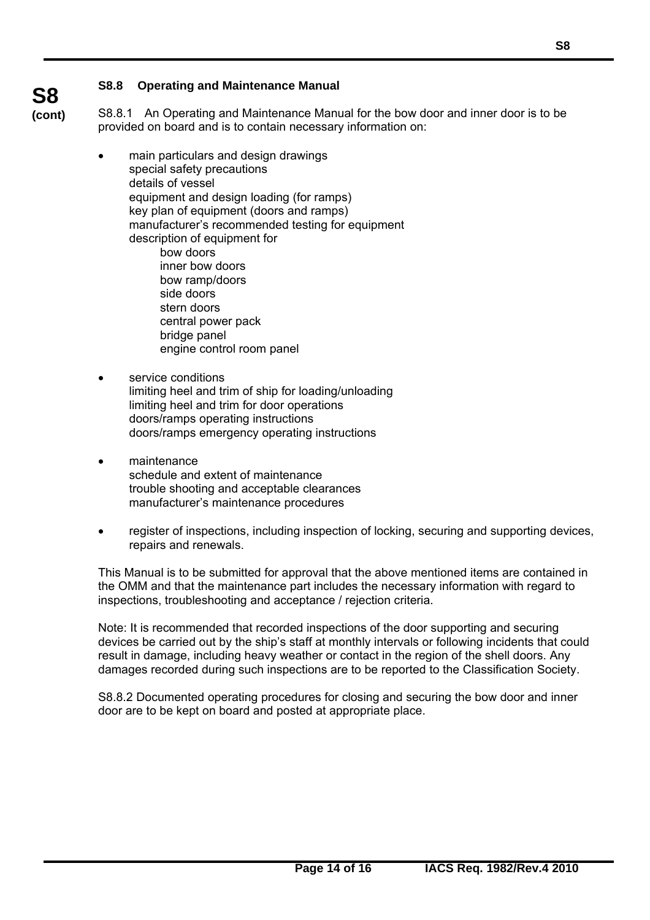### **S8.8 Operating and Maintenance Manual**

**S8 (cont)**

 $\overline{a}$ 

S8.8.1 An Operating and Maintenance Manual for the bow door and inner door is to be provided on board and is to contain necessary information on:

- main particulars and design drawings special safety precautions details of vessel equipment and design loading (for ramps) key plan of equipment (doors and ramps) manufacturer's recommended testing for equipment description of equipment for bow doors inner bow doors bow ramp/doors side doors stern doors central power pack bridge panel engine control room panel
- service conditions limiting heel and trim of ship for loading/unloading limiting heel and trim for door operations doors/ramps operating instructions doors/ramps emergency operating instructions
- maintenance schedule and extent of maintenance trouble shooting and acceptable clearances manufacturer's maintenance procedures
- register of inspections, including inspection of locking, securing and supporting devices, repairs and renewals.

This Manual is to be submitted for approval that the above mentioned items are contained in the OMM and that the maintenance part includes the necessary information with regard to inspections, troubleshooting and acceptance / rejection criteria.

Note: It is recommended that recorded inspections of the door supporting and securing devices be carried out by the ship's staff at monthly intervals or following incidents that could result in damage, including heavy weather or contact in the region of the shell doors. Any damages recorded during such inspections are to be reported to the Classification Society.

S8.8.2 Documented operating procedures for closing and securing the bow door and inner door are to be kept on board and posted at appropriate place.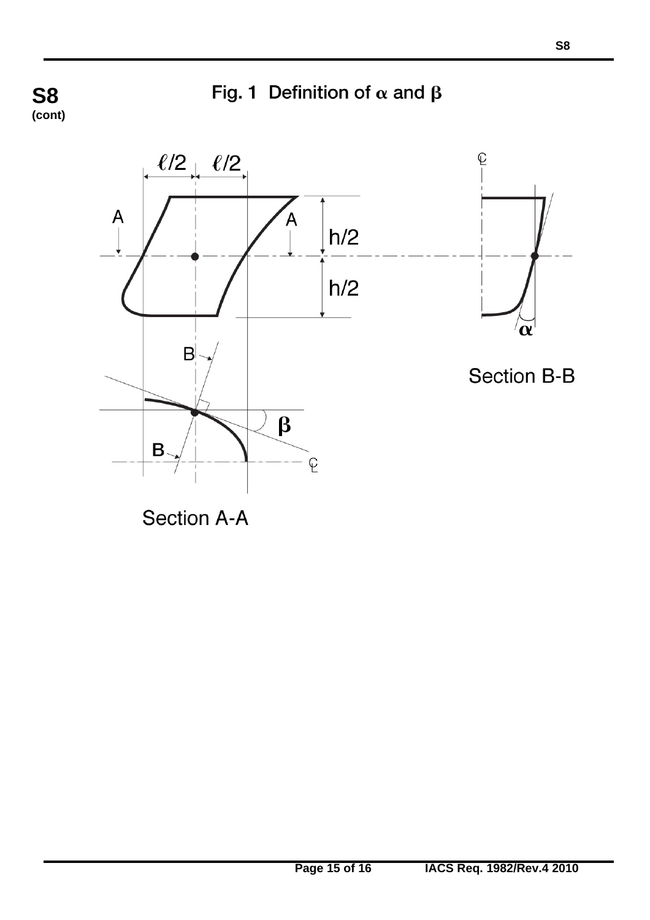Fig. 1 Definition of  $\alpha$  and  $\beta$ 

**S8 (cont)**



**Section A-A**